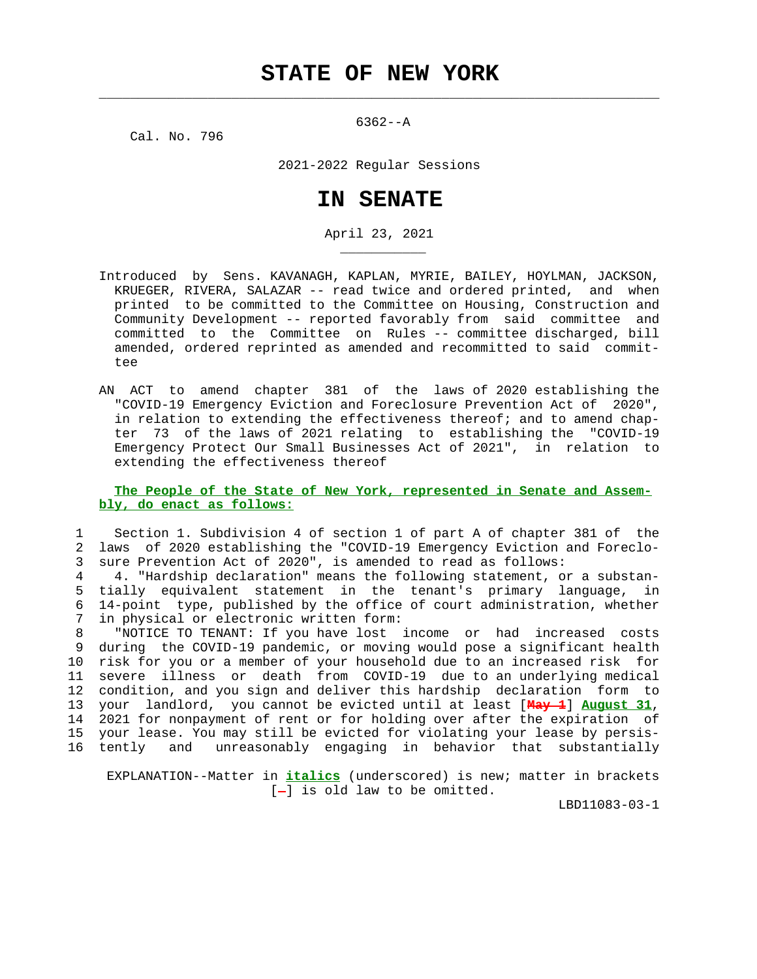$\mathcal{L}_\text{max} = \frac{1}{2} \sum_{i=1}^{n} \frac{1}{2} \sum_{i=1}^{n} \frac{1}{2} \sum_{i=1}^{n} \frac{1}{2} \sum_{i=1}^{n} \frac{1}{2} \sum_{i=1}^{n} \frac{1}{2} \sum_{i=1}^{n} \frac{1}{2} \sum_{i=1}^{n} \frac{1}{2} \sum_{i=1}^{n} \frac{1}{2} \sum_{i=1}^{n} \frac{1}{2} \sum_{i=1}^{n} \frac{1}{2} \sum_{i=1}^{n} \frac{1}{2} \sum_{i=1}^{n} \frac{1$ 

Cal. No. 796

\_\_\_\_\_\_\_\_\_\_\_

6362--A

2021-2022 Regular Sessions

## **IN SENATE**

April 23, 2021

- Introduced by Sens. KAVANAGH, KAPLAN, MYRIE, BAILEY, HOYLMAN, JACKSON, KRUEGER, RIVERA, SALAZAR -- read twice and ordered printed, and when printed to be committed to the Committee on Housing, Construction and Community Development -- reported favorably from said committee and committed to the Committee on Rules -- committee discharged, bill amended, ordered reprinted as amended and recommitted to said commit tee
- AN ACT to amend chapter 381 of the laws of 2020 establishing the "COVID-19 Emergency Eviction and Foreclosure Prevention Act of 2020", in relation to extending the effectiveness thereof; and to amend chap ter 73 of the laws of 2021 relating to establishing the "COVID-19 Emergency Protect Our Small Businesses Act of 2021", in relation to extending the effectiveness thereof

## **The People of the State of New York, represented in Senate and Assem bly, do enact as follows:**

 1 Section 1. Subdivision 4 of section 1 of part A of chapter 381 of the 2 laws of 2020 establishing the "COVID-19 Emergency Eviction and Foreclo- 3 sure Prevention Act of 2020", is amended to read as follows:

 4 4. "Hardship declaration" means the following statement, or a substan- 5 tially equivalent statement in the tenant's primary language, in 6 14-point type, published by the office of court administration, whether in physical or electronic written form:

 8 "NOTICE TO TENANT: If you have lost income or had increased costs 9 during the COVID-19 pandemic, or moving would pose a significant health 10 risk for you or a member of your household due to an increased risk for 11 severe illness or death from COVID-19 due to an underlying medical 12 condition, and you sign and deliver this hardship declaration form to 13 your landlord, you cannot be evicted until at least [**May 1**] **August 31**, 14 2021 for nonpayment of rent or for holding over after the expiration of 15 your lease. You may still be evicted for violating your lease by persis- 16 tently and unreasonably engaging in behavior that substantially

 EXPLANATION--Matter in **italics** (underscored) is new; matter in brackets  $[-]$  is old law to be omitted.

LBD11083-03-1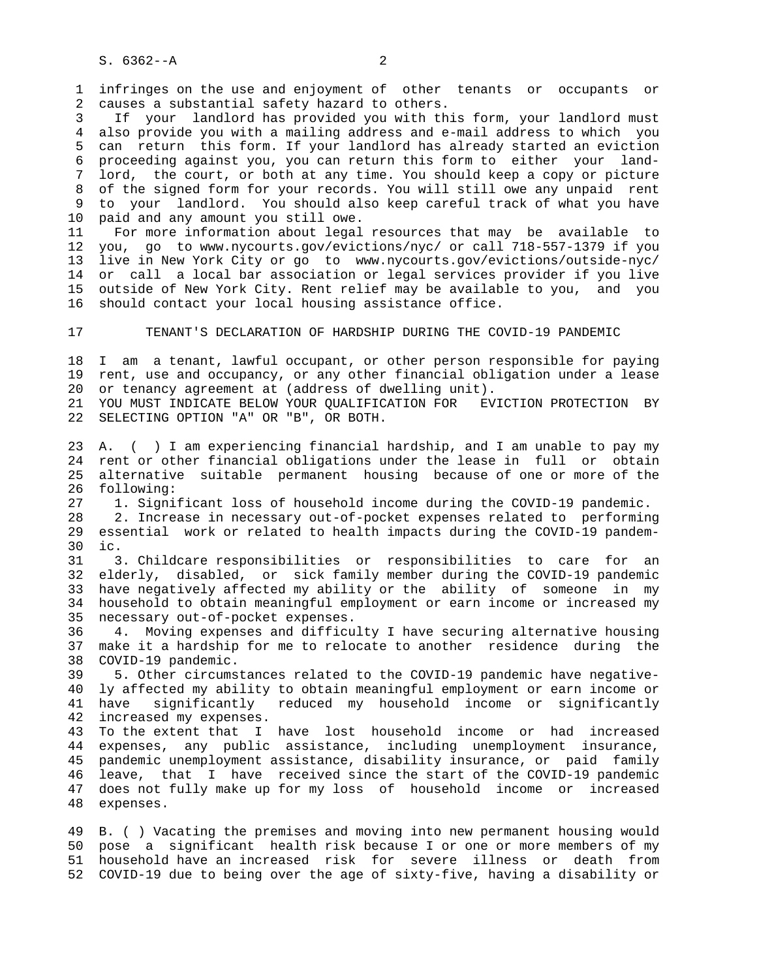1 infringes on the use and enjoyment of other tenants or occupants or 2 causes a substantial safety hazard to others.

 3 If your landlord has provided you with this form, your landlord must 4 also provide you with a mailing address and e-mail address to which you 5 can return this form. If your landlord has already started an eviction 6 proceeding against you, you can return this form to either your land- 7 lord, the court, or both at any time. You should keep a copy or picture 8 of the signed form for your records. You will still owe any unpaid rent 9 to your landlord. You should also keep careful track of what you have 10 paid and any amount you still owe.

 11 For more information about legal resources that may be available to 12 you, go to www.nycourts.gov/evictions/nyc/ or call 718-557-1379 if you 13 live in New York City or go to www.nycourts.gov/evictions/outside-nyc/ 14 or call a local bar association or legal services provider if you live 15 outside of New York City. Rent relief may be available to you, and you 16 should contact your local housing assistance office.

17 TENANT'S DECLARATION OF HARDSHIP DURING THE COVID-19 PANDEMIC

 18 I am a tenant, lawful occupant, or other person responsible for paying 19 rent, use and occupancy, or any other financial obligation under a lease 20 or tenancy agreement at (address of dwelling unit).

 21 YOU MUST INDICATE BELOW YOUR QUALIFICATION FOR EVICTION PROTECTION BY 22 SELECTING OPTION "A" OR "B", OR BOTH.

 23 A. ( ) I am experiencing financial hardship, and I am unable to pay my 24 rent or other financial obligations under the lease in full or obtain 25 alternative suitable permanent housing because of one or more of the 26 following:

27 1. Significant loss of household income during the COVID-19 pandemic.

 28 2. Increase in necessary out-of-pocket expenses related to performing 29 essential work or related to health impacts during the COVID-19 pandem- 30 ic.

 31 3. Childcare responsibilities or responsibilities to care for an 32 elderly, disabled, or sick family member during the COVID-19 pandemic 33 have negatively affected my ability or the ability of someone in my 34 household to obtain meaningful employment or earn income or increased my 35 necessary out-of-pocket expenses.

 36 4. Moving expenses and difficulty I have securing alternative housing 37 make it a hardship for me to relocate to another residence during the 38 COVID-19 pandemic.

 39 5. Other circumstances related to the COVID-19 pandemic have negative- 40 ly affected my ability to obtain meaningful employment or earn income or 41 have significantly reduced my household income or significantly 42 increased my expenses.

 43 To the extent that I have lost household income or had increased 44 expenses, any public assistance, including unemployment insurance, 45 pandemic unemployment assistance, disability insurance, or paid family 46 leave, that I have received since the start of the COVID-19 pandemic 47 does not fully make up for my loss of household income or increased 48 expenses.

 49 B. ( ) Vacating the premises and moving into new permanent housing would 50 pose a significant health risk because I or one or more members of my 51 household have an increased risk for severe illness or death from 52 COVID-19 due to being over the age of sixty-five, having a disability or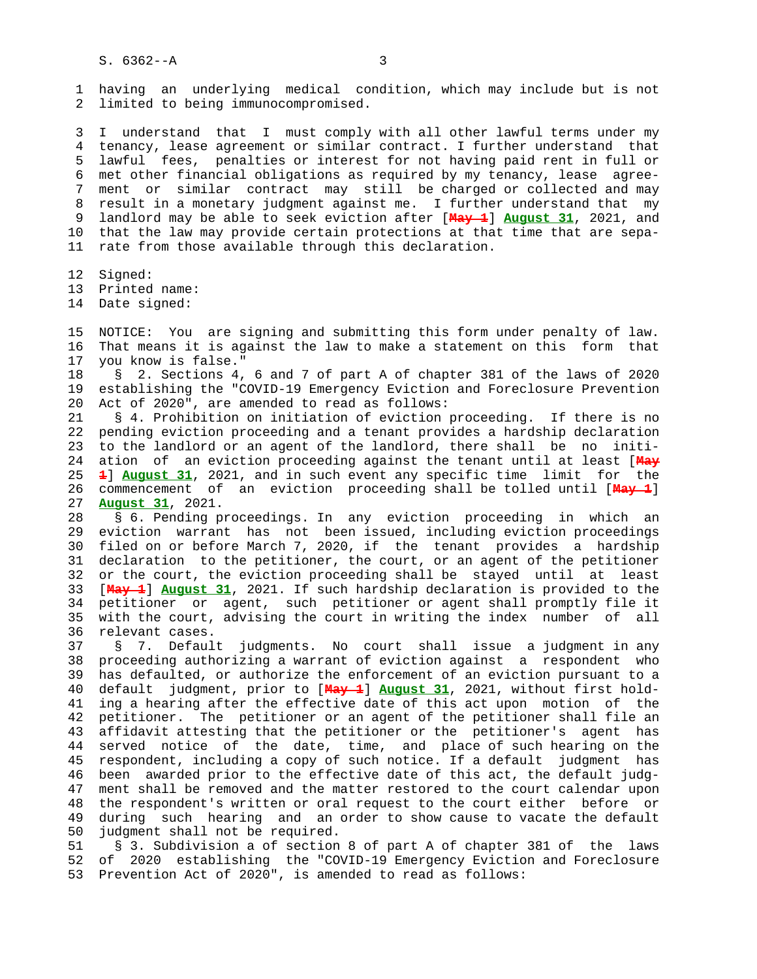1 having an underlying medical condition, which may include but is not 2 limited to being immunocompromised.

 3 I understand that I must comply with all other lawful terms under my 4 tenancy, lease agreement or similar contract. I further understand that 5 lawful fees, penalties or interest for not having paid rent in full or 6 met other financial obligations as required by my tenancy, lease agree- 7 ment or similar contract may still be charged or collected and may 8 result in a monetary judgment against me. I further understand that my 9 landlord may be able to seek eviction after [**May 1**] **August 31**, 2021, and 10 that the law may provide certain protections at that time that are sepa- 11 rate from those available through this declaration.

12 Signed:

13 Printed name:

14 Date signed:

 15 NOTICE: You are signing and submitting this form under penalty of law. 16 That means it is against the law to make a statement on this form that 17 you know is false."

 18 § 2. Sections 4, 6 and 7 of part A of chapter 381 of the laws of 2020 19 establishing the "COVID-19 Emergency Eviction and Foreclosure Prevention 20 Act of 2020", are amended to read as follows:

 21 § 4. Prohibition on initiation of eviction proceeding. If there is no 22 pending eviction proceeding and a tenant provides a hardship declaration 23 to the landlord or an agent of the landlord, there shall be no initi- 24 ation of an eviction proceeding against the tenant until at least [**May** 25 **1**] **August 31**, 2021, and in such event any specific time limit for the 26 commencement of an eviction proceeding shall be tolled until [**May 1**] 27 **August 31**, 2021.

 28 § 6. Pending proceedings. In any eviction proceeding in which an 29 eviction warrant has not been issued, including eviction proceedings 30 filed on or before March 7, 2020, if the tenant provides a hardship 31 declaration to the petitioner, the court, or an agent of the petitioner 32 or the court, the eviction proceeding shall be stayed until at least 33 [**May 1**] **August 31**, 2021. If such hardship declaration is provided to the 34 petitioner or agent, such petitioner or agent shall promptly file it 35 with the court, advising the court in writing the index number of all 36 relevant cases.

 37 § 7. Default judgments. No court shall issue a judgment in any 38 proceeding authorizing a warrant of eviction against a respondent who 39 has defaulted, or authorize the enforcement of an eviction pursuant to a 40 default judgment, prior to [**May 1**] **August 31**, 2021, without first hold- 41 ing a hearing after the effective date of this act upon motion of the 42 petitioner. The petitioner or an agent of the petitioner shall file an 43 affidavit attesting that the petitioner or the petitioner's agent has 44 served notice of the date, time, and place of such hearing on the 45 respondent, including a copy of such notice. If a default judgment has 46 been awarded prior to the effective date of this act, the default judg- 47 ment shall be removed and the matter restored to the court calendar upon 48 the respondent's written or oral request to the court either before or 49 during such hearing and an order to show cause to vacate the default 50 judgment shall not be required.

 51 § 3. Subdivision a of section 8 of part A of chapter 381 of the laws 52 of 2020 establishing the "COVID-19 Emergency Eviction and Foreclosure 53 Prevention Act of 2020", is amended to read as follows: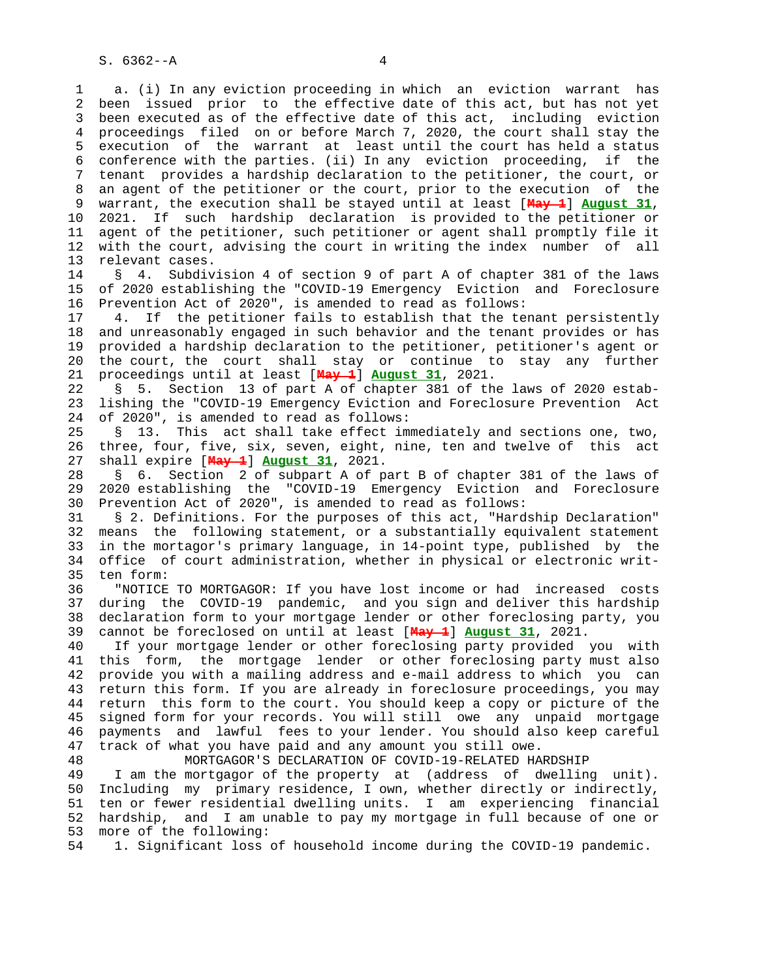1 a. (i) In any eviction proceeding in which an eviction warrant has 2 been issued prior to the effective date of this act, but has not yet 3 been executed as of the effective date of this act, including eviction 4 proceedings filed on or before March 7, 2020, the court shall stay the 5 execution of the warrant at least until the court has held a status 6 conference with the parties. (ii) In any eviction proceeding, if the 7 tenant provides a hardship declaration to the petitioner, the court, or 8 an agent of the petitioner or the court, prior to the execution of the 9 warrant, the execution shall be stayed until at least [**May 1**] **August 31**, 10 2021. If such hardship declaration is provided to the petitioner or 11 agent of the petitioner, such petitioner or agent shall promptly file it 12 with the court, advising the court in writing the index number of all 13 relevant cases.

 14 § 4. Subdivision 4 of section 9 of part A of chapter 381 of the laws 15 of 2020 establishing the "COVID-19 Emergency Eviction and Foreclosure 16 Prevention Act of 2020", is amended to read as follows:

 17 4. If the petitioner fails to establish that the tenant persistently 18 and unreasonably engaged in such behavior and the tenant provides or has 19 provided a hardship declaration to the petitioner, petitioner's agent or 20 the court, the court shall stay or continue to stay any further 21 proceedings until at least [**May 1**] **August 31**, 2021.

 22 § 5. Section 13 of part A of chapter 381 of the laws of 2020 estab- 23 lishing the "COVID-19 Emergency Eviction and Foreclosure Prevention Act 24 of 2020", is amended to read as follows:

 25 § 13. This act shall take effect immediately and sections one, two, 26 three, four, five, six, seven, eight, nine, ten and twelve of this act 27 shall expire [**May 1**] **August 31**, 2021.

 28 § 6. Section 2 of subpart A of part B of chapter 381 of the laws of 29 2020 establishing the "COVID-19 Emergency Eviction and Foreclosure 30 Prevention Act of 2020", is amended to read as follows:

 31 § 2. Definitions. For the purposes of this act, "Hardship Declaration" 32 means the following statement, or a substantially equivalent statement 33 in the mortagor's primary language, in 14-point type, published by the 34 office of court administration, whether in physical or electronic writ- 35 ten form:

 36 "NOTICE TO MORTGAGOR: If you have lost income or had increased costs 37 during the COVID-19 pandemic, and you sign and deliver this hardship 38 declaration form to your mortgage lender or other foreclosing party, you 39 cannot be foreclosed on until at least [**May 1**] **August 31**, 2021.

 40 If your mortgage lender or other foreclosing party provided you with 41 this form, the mortgage lender or other foreclosing party must also 42 provide you with a mailing address and e-mail address to which you can 43 return this form. If you are already in foreclosure proceedings, you may 44 return this form to the court. You should keep a copy or picture of the 45 signed form for your records. You will still owe any unpaid mortgage 46 payments and lawful fees to your lender. You should also keep careful 47 track of what you have paid and any amount you still owe.

 48 MORTGAGOR'S DECLARATION OF COVID-19-RELATED HARDSHIP 49 I am the mortgagor of the property at (address of dwelling unit). 50 Including my primary residence, I own, whether directly or indirectly, 51 ten or fewer residential dwelling units. I am experiencing financial 52 hardship, and I am unable to pay my mortgage in full because of one or 53 more of the following:

54 1. Significant loss of household income during the COVID-19 pandemic.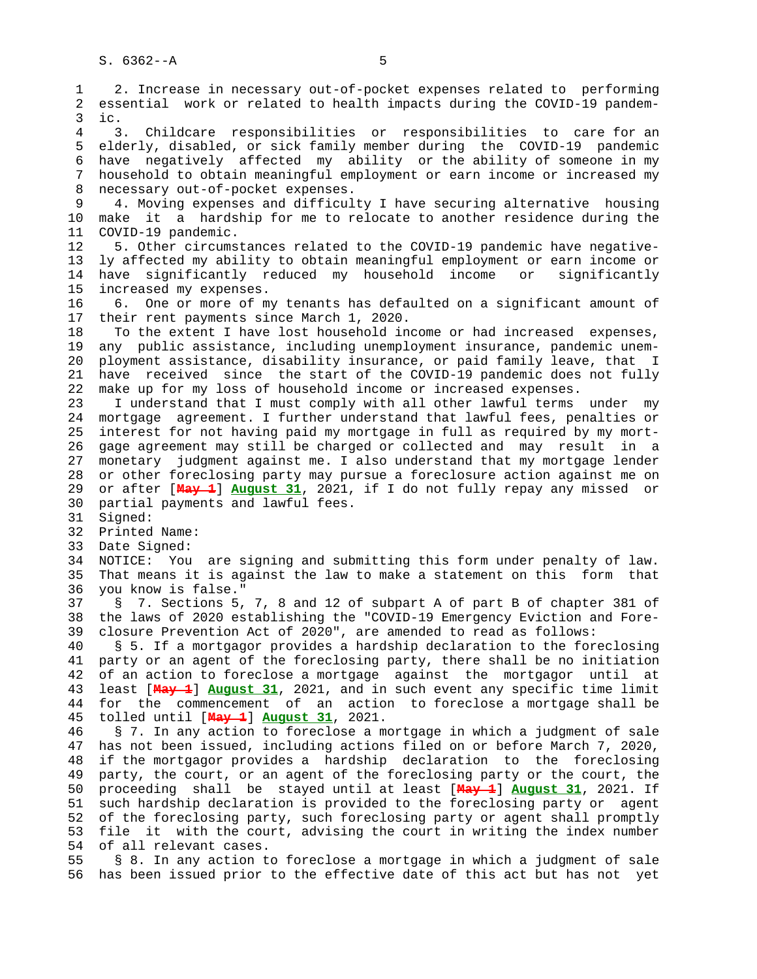1 2. Increase in necessary out-of-pocket expenses related to performing 2 essential work or related to health impacts during the COVID-19 pandem- 3 ic. 4 3. Childcare responsibilities or responsibilities to care for an 5 elderly, disabled, or sick family member during the COVID-19 pandemic 6 have negatively affected my ability or the ability of someone in my 7 household to obtain meaningful employment or earn income or increased my 8 necessary out-of-pocket expenses. 9 4. Moving expenses and difficulty I have securing alternative housing 10 make it a hardship for me to relocate to another residence during the 11 COVID-19 pandemic. 12 5. Other circumstances related to the COVID-19 pandemic have negative- 13 ly affected my ability to obtain meaningful employment or earn income or 14 have significantly reduced my household income or significantly 15 increased my expenses. 16 6. One or more of my tenants has defaulted on a significant amount of 17 their rent payments since March 1, 2020. 18 To the extent I have lost household income or had increased expenses, 19 any public assistance, including unemployment insurance, pandemic unem- 20 ployment assistance, disability insurance, or paid family leave, that I 21 have received since the start of the COVID-19 pandemic does not fully 22 make up for my loss of household income or increased expenses. 23 I understand that I must comply with all other lawful terms under my 24 mortgage agreement. I further understand that lawful fees, penalties or 25 interest for not having paid my mortgage in full as required by my mort- 26 gage agreement may still be charged or collected and may result in a 27 monetary judgment against me. I also understand that my mortgage lender 28 or other foreclosing party may pursue a foreclosure action against me on 29 or after [**May 1**] **August 31**, 2021, if I do not fully repay any missed or 30 partial payments and lawful fees. 31 Signed: 32 Printed Name: 33 Date Signed: 34 NOTICE: You are signing and submitting this form under penalty of law. 35 That means it is against the law to make a statement on this form that 36 you know is false." 37 § 7. Sections 5, 7, 8 and 12 of subpart A of part B of chapter 381 of 38 the laws of 2020 establishing the "COVID-19 Emergency Eviction and Fore- 39 closure Prevention Act of 2020", are amended to read as follows: 40 § 5. If a mortgagor provides a hardship declaration to the foreclosing 41 party or an agent of the foreclosing party, there shall be no initiation 42 of an action to foreclose a mortgage against the mortgagor until at 43 least [**May 1**] **August 31**, 2021, and in such event any specific time limit 44 for the commencement of an action to foreclose a mortgage shall be 45 tolled until [**May 1**] **August 31**, 2021. 46 § 7. In any action to foreclose a mortgage in which a judgment of sale 47 has not been issued, including actions filed on or before March 7, 2020, 48 if the mortgagor provides a hardship declaration to the foreclosing 49 party, the court, or an agent of the foreclosing party or the court, the 50 proceeding shall be stayed until at least [**May 1**] **August 31**, 2021. If 51 such hardship declaration is provided to the foreclosing party or agent 52 of the foreclosing party, such foreclosing party or agent shall promptly 53 file it with the court, advising the court in writing the index number 54 of all relevant cases. 55 § 8. In any action to foreclose a mortgage in which a judgment of sale 56 has been issued prior to the effective date of this act but has not yet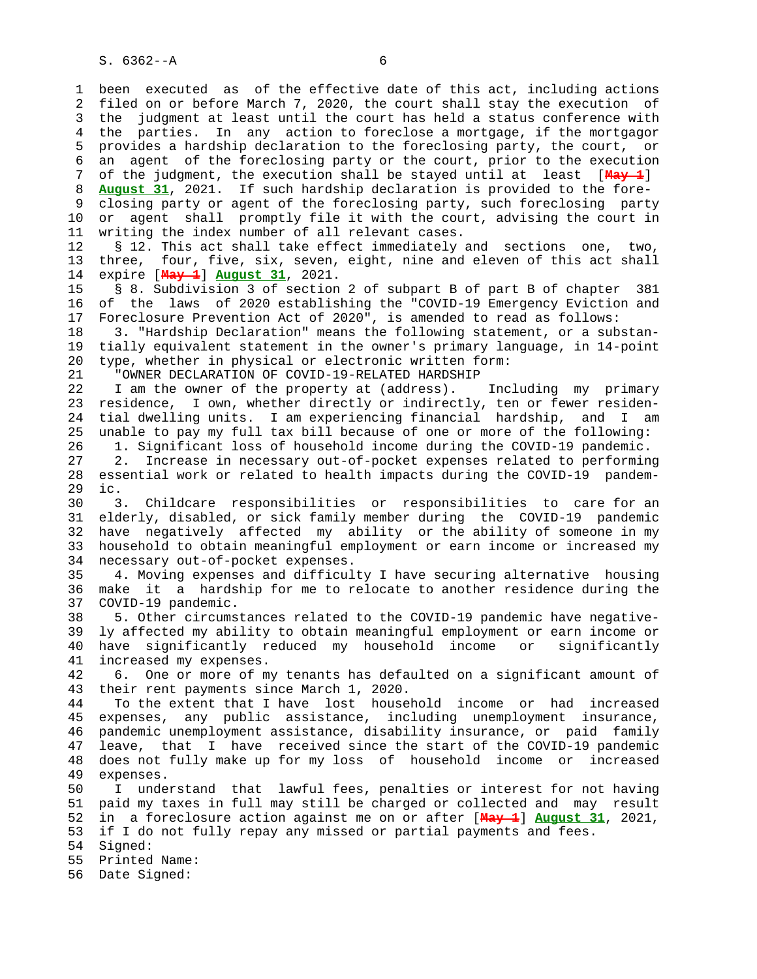1 been executed as of the effective date of this act, including actions 2 filed on or before March 7, 2020, the court shall stay the execution of 3 the judgment at least until the court has held a status conference with 4 the parties. In any action to foreclose a mortgage, if the mortgagor 5 provides a hardship declaration to the foreclosing party, the court, or 6 an agent of the foreclosing party or the court, prior to the execution 7 of the judgment, the execution shall be stayed until at least [**May 1**]

 8 **August 31**, 2021. If such hardship declaration is provided to the fore- 9 closing party or agent of the foreclosing party, such foreclosing party 10 or agent shall promptly file it with the court, advising the court in 11 writing the index number of all relevant cases.

 12 § 12. This act shall take effect immediately and sections one, two, 13 three, four, five, six, seven, eight, nine and eleven of this act shall 14 expire [**May 1**] **August 31**, 2021.

 15 § 8. Subdivision 3 of section 2 of subpart B of part B of chapter 381 16 of the laws of 2020 establishing the "COVID-19 Emergency Eviction and 17 Foreclosure Prevention Act of 2020", is amended to read as follows:

 18 3. "Hardship Declaration" means the following statement, or a substan- 19 tially equivalent statement in the owner's primary language, in 14-point 20 type, whether in physical or electronic written form:

21 "OWNER DECLARATION OF COVID-19-RELATED HARDSHIP

 22 I am the owner of the property at (address). Including my primary 23 residence, I own, whether directly or indirectly, ten or fewer residen- 24 tial dwelling units. I am experiencing financial hardship, and I am 25 unable to pay my full tax bill because of one or more of the following: 26 1. Significant loss of household income during the COVID-19 pandemic.

 27 2. Increase in necessary out-of-pocket expenses related to performing 28 essential work or related to health impacts during the COVID-19 pandem- 29 ic.

 30 3. Childcare responsibilities or responsibilities to care for an 31 elderly, disabled, or sick family member during the COVID-19 pandemic 32 have negatively affected my ability or the ability of someone in my 33 household to obtain meaningful employment or earn income or increased my 34 necessary out-of-pocket expenses.

 35 4. Moving expenses and difficulty I have securing alternative housing 36 make it a hardship for me to relocate to another residence during the 37 COVID-19 pandemic.

 38 5. Other circumstances related to the COVID-19 pandemic have negative- 39 ly affected my ability to obtain meaningful employment or earn income or 40 have significantly reduced my household income or significantly 41 increased my expenses.

 42 6. One or more of my tenants has defaulted on a significant amount of 43 their rent payments since March 1, 2020.

 44 To the extent that I have lost household income or had increased 45 expenses, any public assistance, including unemployment insurance, 46 pandemic unemployment assistance, disability insurance, or paid family 47 leave, that I have received since the start of the COVID-19 pandemic 48 does not fully make up for my loss of household income or increased 49 expenses.

 50 I understand that lawful fees, penalties or interest for not having 51 paid my taxes in full may still be charged or collected and may result 52 in a foreclosure action against me on or after [**May 1**] **August 31**, 2021, 53 if I do not fully repay any missed or partial payments and fees. 54 Signed:

55 Printed Name:

56 Date Signed: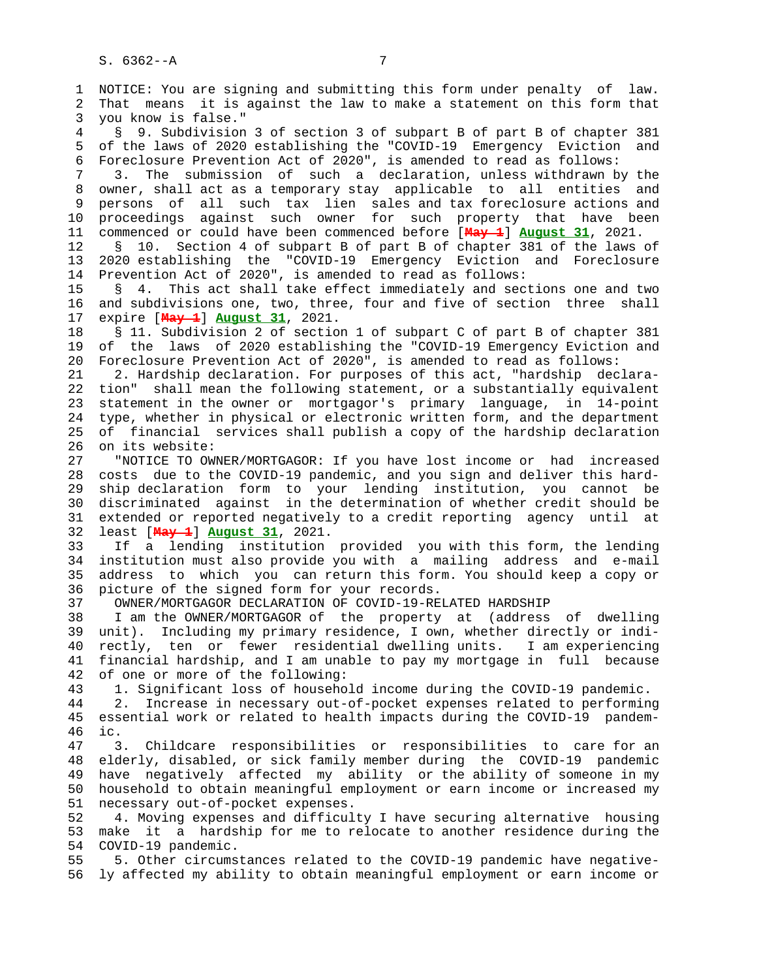1 NOTICE: You are signing and submitting this form under penalty of law. 2 That means it is against the law to make a statement on this form that 3 you know is false." 4 § 9. Subdivision 3 of section 3 of subpart B of part B of chapter 381 5 of the laws of 2020 establishing the "COVID-19 Emergency Eviction and 6 Foreclosure Prevention Act of 2020", is amended to read as follows: 7 3. The submission of such a declaration, unless withdrawn by the 8 owner, shall act as a temporary stay applicable to all entities and 9 persons of all such tax lien sales and tax foreclosure actions and 10 proceedings against such owner for such property that have been 11 commenced or could have been commenced before [**May 1**] **August 31**, 2021. 12 § 10. Section 4 of subpart B of part B of chapter 381 of the laws of 13 2020 establishing the "COVID-19 Emergency Eviction and Foreclosure 14 Prevention Act of 2020", is amended to read as follows: 15 § 4. This act shall take effect immediately and sections one and two 16 and subdivisions one, two, three, four and five of section three shall 17 expire [**May 1**] **August 31**, 2021. 18 § 11. Subdivision 2 of section 1 of subpart C of part B of chapter 381 19 of the laws of 2020 establishing the "COVID-19 Emergency Eviction and 20 Foreclosure Prevention Act of 2020", is amended to read as follows: 21 2. Hardship declaration. For purposes of this act, "hardship declara- 22 tion" shall mean the following statement, or a substantially equivalent 23 statement in the owner or mortgagor's primary language, in 14-point 24 type, whether in physical or electronic written form, and the department 25 of financial services shall publish a copy of the hardship declaration 26 on its website: 27 "NOTICE TO OWNER/MORTGAGOR: If you have lost income or had increased 28 costs due to the COVID-19 pandemic, and you sign and deliver this hard- 29 ship declaration form to your lending institution, you cannot be 30 discriminated against in the determination of whether credit should be 31 extended or reported negatively to a credit reporting agency until at 32 least [**May 1**] **August 31**, 2021. 33 If a lending institution provided you with this form, the lending 34 institution must also provide you with a mailing address and e-mail 35 address to which you can return this form. You should keep a copy or 36 picture of the signed form for your records. 37 OWNER/MORTGAGOR DECLARATION OF COVID-19-RELATED HARDSHIP 38 I am the OWNER/MORTGAGOR of the property at (address of dwelling 39 unit). Including my primary residence, I own, whether directly or indi- 40 rectly, ten or fewer residential dwelling units. I am experiencing 41 financial hardship, and I am unable to pay my mortgage in full because 42 of one or more of the following: 43 1. Significant loss of household income during the COVID-19 pandemic. 44 2. Increase in necessary out-of-pocket expenses related to performing 45 essential work or related to health impacts during the COVID-19 pandem- 46 ic. 47 3. Childcare responsibilities or responsibilities to care for an 48 elderly, disabled, or sick family member during the COVID-19 pandemic 49 have negatively affected my ability or the ability of someone in my 50 household to obtain meaningful employment or earn income or increased my 51 necessary out-of-pocket expenses. 52 4. Moving expenses and difficulty I have securing alternative housing 53 make it a hardship for me to relocate to another residence during the 54 COVID-19 pandemic. 55 5. Other circumstances related to the COVID-19 pandemic have negative- 56 ly affected my ability to obtain meaningful employment or earn income or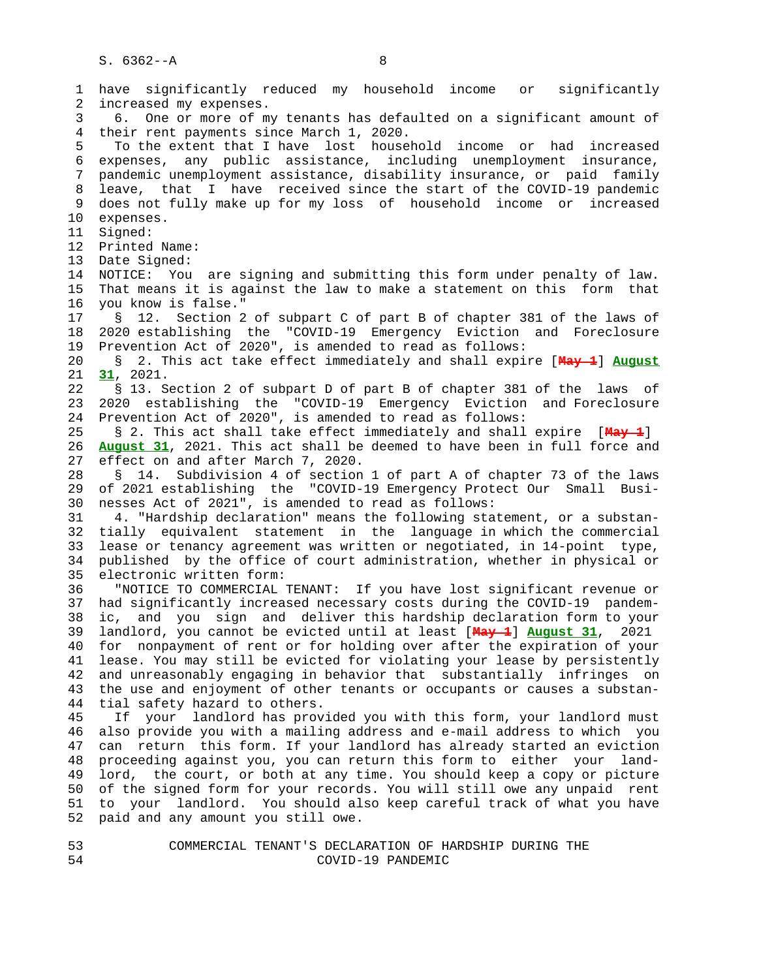1 have significantly reduced my household income or significantly 2 increased my expenses. 3 6. One or more of my tenants has defaulted on a significant amount of 4 their rent payments since March 1, 2020. 5 To the extent that I have lost household income or had increased 6 expenses, any public assistance, including unemployment insurance, 7 pandemic unemployment assistance, disability insurance, or paid family 8 leave, that I have received since the start of the COVID-19 pandemic 9 does not fully make up for my loss of household income or increased 10 expenses. 11 Signed: 12 Printed Name: 13 Date Signed: 14 NOTICE: You are signing and submitting this form under penalty of law. 15 That means it is against the law to make a statement on this form that 16 you know is false." 17 § 12. Section 2 of subpart C of part B of chapter 381 of the laws of 18 2020 establishing the "COVID-19 Emergency Eviction and Foreclosure 19 Prevention Act of 2020", is amended to read as follows: 20 § 2. This act take effect immediately and shall expire [**May 1**] **August** 21 **31**, 2021. 22 § 13. Section 2 of subpart D of part B of chapter 381 of the laws of 23 2020 establishing the "COVID-19 Emergency Eviction and Foreclosure 24 Prevention Act of 2020", is amended to read as follows: 25 § 2. This act shall take effect immediately and shall expire [**May 1**] 26 **August 31**, 2021. This act shall be deemed to have been in full force and 27 effect on and after March 7, 2020. 28 § 14. Subdivision 4 of section 1 of part A of chapter 73 of the laws 29 of 2021 establishing the "COVID-19 Emergency Protect Our Small Busi- 30 nesses Act of 2021", is amended to read as follows: 31 4. "Hardship declaration" means the following statement, or a substan- 32 tially equivalent statement in the language in which the commercial 33 lease or tenancy agreement was written or negotiated, in 14-point type, 34 published by the office of court administration, whether in physical or 35 electronic written form: 36 "NOTICE TO COMMERCIAL TENANT: If you have lost significant revenue or 37 had significantly increased necessary costs during the COVID-19 pandem- 38 ic, and you sign and deliver this hardship declaration form to your 39 landlord, you cannot be evicted until at least [**May 1**] **August 31**, 2021 40 for nonpayment of rent or for holding over after the expiration of your 41 lease. You may still be evicted for violating your lease by persistently 42 and unreasonably engaging in behavior that substantially infringes on 43 the use and enjoyment of other tenants or occupants or causes a substan- 44 tial safety hazard to others. 45 If your landlord has provided you with this form, your landlord must 46 also provide you with a mailing address and e-mail address to which you 47 can return this form. If your landlord has already started an eviction 48 proceeding against you, you can return this form to either your land- 49 lord, the court, or both at any time. You should keep a copy or picture 50 of the signed form for your records. You will still owe any unpaid rent 51 to your landlord. You should also keep careful track of what you have 52 paid and any amount you still owe.

 53 COMMERCIAL TENANT'S DECLARATION OF HARDSHIP DURING THE 54 COVID-19 PANDEMIC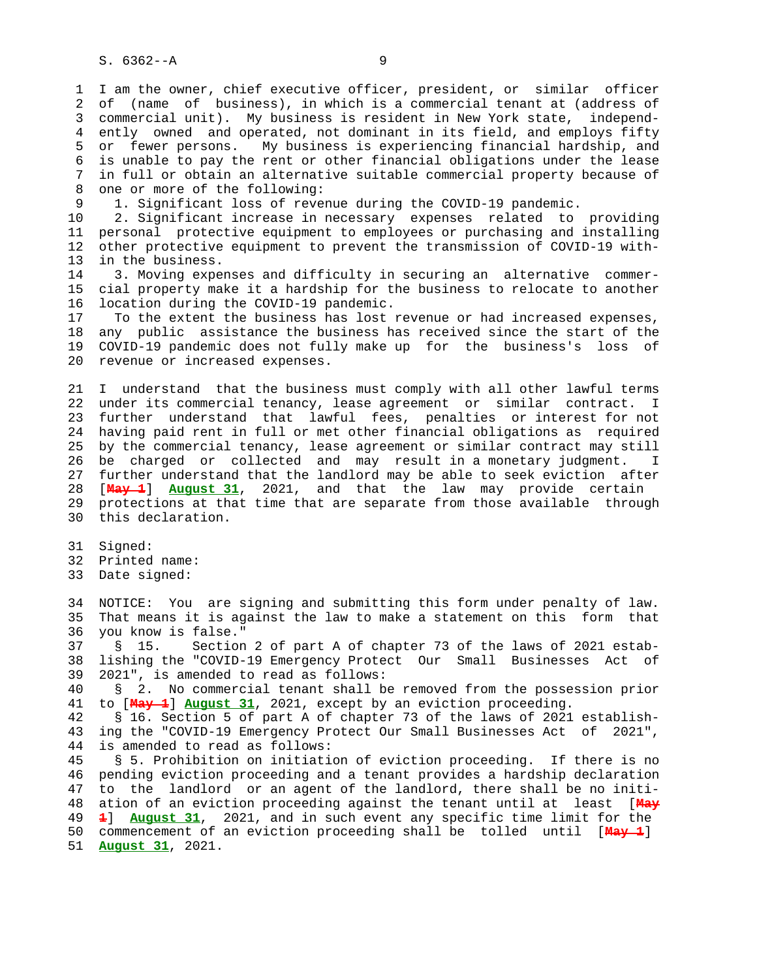1 I am the owner, chief executive officer, president, or similar officer 2 of (name of business), in which is a commercial tenant at (address of 3 commercial unit). My business is resident in New York state, independ- 4 ently owned and operated, not dominant in its field, and employs fifty 5 or fewer persons. My business is experiencing financial hardship, and 6 is unable to pay the rent or other financial obligations under the lease 7 in full or obtain an alternative suitable commercial property because of 8 one or more of the following:<br>9 1. Significant loss of rever

1. Significant loss of revenue during the COVID-19 pandemic.

 10 2. Significant increase in necessary expenses related to providing 11 personal protective equipment to employees or purchasing and installing 12 other protective equipment to prevent the transmission of COVID-19 with- 13 in the business.

 14 3. Moving expenses and difficulty in securing an alternative commer- 15 cial property make it a hardship for the business to relocate to another 16 location during the COVID-19 pandemic.

 17 To the extent the business has lost revenue or had increased expenses, 18 any public assistance the business has received since the start of the 19 COVID-19 pandemic does not fully make up for the business's loss of 20 revenue or increased expenses.

 21 I understand that the business must comply with all other lawful terms 22 under its commercial tenancy, lease agreement or similar contract. I 23 further understand that lawful fees, penalties or interest for not 24 having paid rent in full or met other financial obligations as required 25 by the commercial tenancy, lease agreement or similar contract may still 26 be charged or collected and may result in a monetary judgment. I 27 further understand that the landlord may be able to seek eviction after 28 [**May 1**] **August 31**, 2021, and that the law may provide certain 29 protections at that time that are separate from those available through 30 this declaration.

31 Signed:

32 Printed name:

33 Date signed:

 34 NOTICE: You are signing and submitting this form under penalty of law. 35 That means it is against the law to make a statement on this form that 36 you know is false."

 37 § 15. Section 2 of part A of chapter 73 of the laws of 2021 estab- 38 lishing the "COVID-19 Emergency Protect Our Small Businesses Act of 39 2021", is amended to read as follows:

 40 § 2. No commercial tenant shall be removed from the possession prior 41 to [**May 1**] **August 31**, 2021, except by an eviction proceeding.

 42 § 16. Section 5 of part A of chapter 73 of the laws of 2021 establish- 43 ing the "COVID-19 Emergency Protect Our Small Businesses Act of 2021", 44 is amended to read as follows:

 45 § 5. Prohibition on initiation of eviction proceeding. If there is no 46 pending eviction proceeding and a tenant provides a hardship declaration 47 to the landlord or an agent of the landlord, there shall be no initi- 48 ation of an eviction proceeding against the tenant until at least [**May** 49 **1**] **August 31**, 2021, and in such event any specific time limit for the 50 commencement of an eviction proceeding shall be tolled until [**May 1**] 51 **August 31**, 2021.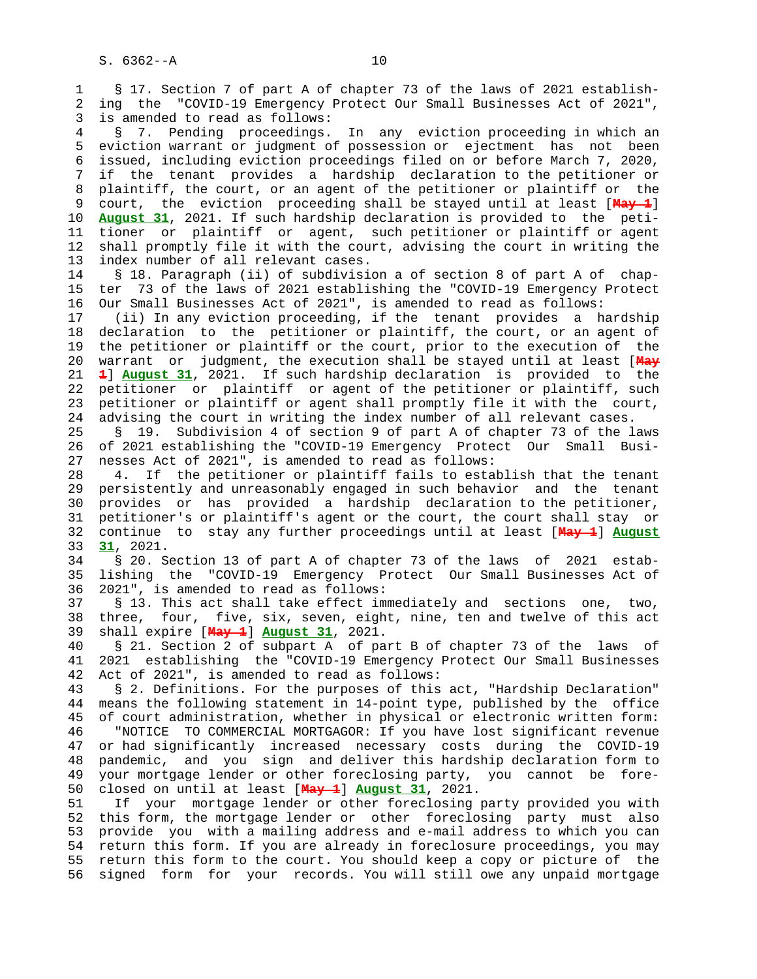1 § 17. Section 7 of part A of chapter 73 of the laws of 2021 establish- 2 ing the "COVID-19 Emergency Protect Our Small Businesses Act of 2021", 3 is amended to read as follows: 4 § 7. Pending proceedings. In any eviction proceeding in which an 5 eviction warrant or judgment of possession or ejectment has not been 6 issued, including eviction proceedings filed on or before March 7, 2020, 7 if the tenant provides a hardship declaration to the petitioner or 8 plaintiff, the court, or an agent of the petitioner or plaintiff or the 9 court, the eviction proceeding shall be stayed until at least [**May 1**] 10 **August 31**, 2021. If such hardship declaration is provided to the peti- 11 tioner or plaintiff or agent, such petitioner or plaintiff or agent 12 shall promptly file it with the court, advising the court in writing the 13 index number of all relevant cases. 14 § 18. Paragraph (ii) of subdivision a of section 8 of part A of chap- 15 ter 73 of the laws of 2021 establishing the "COVID-19 Emergency Protect 16 Our Small Businesses Act of 2021", is amended to read as follows: 17 (ii) In any eviction proceeding, if the tenant provides a hardship 18 declaration to the petitioner or plaintiff, the court, or an agent of 19 the petitioner or plaintiff or the court, prior to the execution of the 20 warrant or judgment, the execution shall be stayed until at least [**May** 21 **1**] **August 31**, 2021. If such hardship declaration is provided to the 22 petitioner or plaintiff or agent of the petitioner or plaintiff, such 23 petitioner or plaintiff or agent shall promptly file it with the court, 24 advising the court in writing the index number of all relevant cases. 25 § 19. Subdivision 4 of section 9 of part A of chapter 73 of the laws 26 of 2021 establishing the "COVID-19 Emergency Protect Our Small Busi- 27 nesses Act of 2021", is amended to read as follows: 28 4. If the petitioner or plaintiff fails to establish that the tenant 29 persistently and unreasonably engaged in such behavior and the tenant 30 provides or has provided a hardship declaration to the petitioner, 31 petitioner's or plaintiff's agent or the court, the court shall stay or 32 continue to stay any further proceedings until at least [**May 1**] **August** 33 **31**, 2021. 34 § 20. Section 13 of part A of chapter 73 of the laws of 2021 estab- 35 lishing the "COVID-19 Emergency Protect Our Small Businesses Act of 36 2021", is amended to read as follows: 37 § 13. This act shall take effect immediately and sections one, two, 38 three, four, five, six, seven, eight, nine, ten and twelve of this act 39 shall expire [**May 1**] **August 31**, 2021. 40 § 21. Section 2 of subpart A of part B of chapter 73 of the laws of 41 2021 establishing the "COVID-19 Emergency Protect Our Small Businesses 42 Act of 2021", is amended to read as follows: 43 § 2. Definitions. For the purposes of this act, "Hardship Declaration" 44 means the following statement in 14-point type, published by the office 45 of court administration, whether in physical or electronic written form: 46 "NOTICE TO COMMERCIAL MORTGAGOR: If you have lost significant revenue 47 or had significantly increased necessary costs during the COVID-19 48 pandemic, and you sign and deliver this hardship declaration form to 49 your mortgage lender or other foreclosing party, you cannot be fore- 50 closed on until at least [**May 1**] **August 31**, 2021. 51 If your mortgage lender or other foreclosing party provided you with 52 this form, the mortgage lender or other foreclosing party must also 53 provide you with a mailing address and e-mail address to which you can 54 return this form. If you are already in foreclosure proceedings, you may 55 return this form to the court. You should keep a copy or picture of the

56 signed form for your records. You will still owe any unpaid mortgage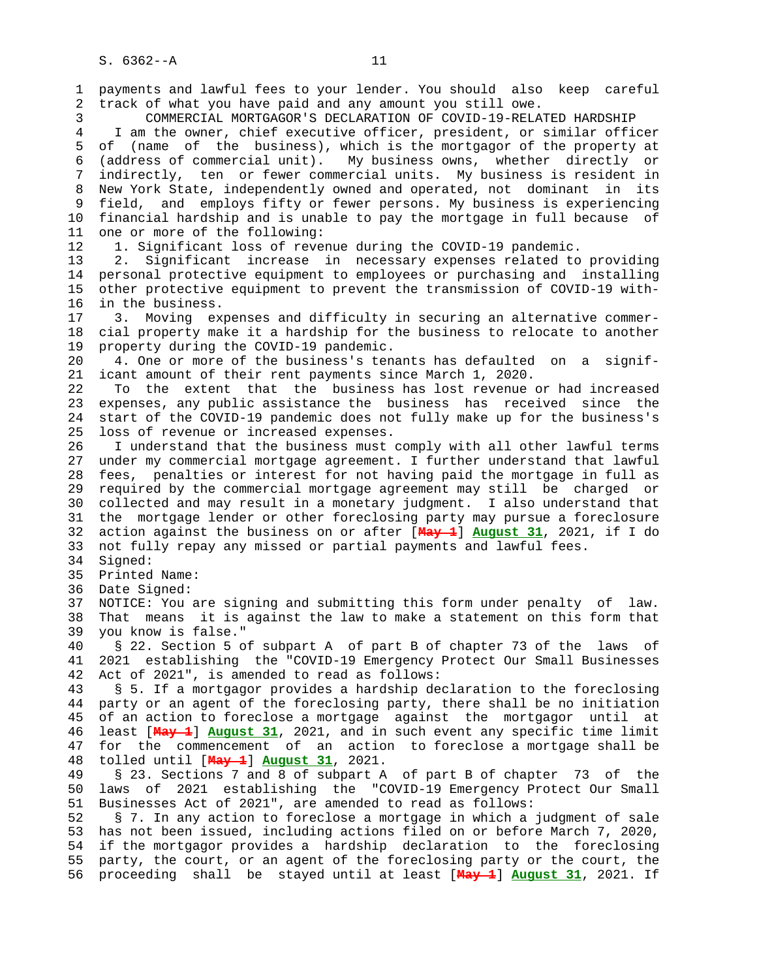1 payments and lawful fees to your lender. You should also keep careful 2 track of what you have paid and any amount you still owe. 3 COMMERCIAL MORTGAGOR'S DECLARATION OF COVID-19-RELATED HARDSHIP 4 I am the owner, chief executive officer, president, or similar officer 5 of (name of the business), which is the mortgagor of the property at 6 (address of commercial unit). My business owns, whether directly or 7 indirectly, ten or fewer commercial units. My business is resident in 8 New York State, independently owned and operated, not dominant in its 9 field, and employs fifty or fewer persons. My business is experiencing 10 financial hardship and is unable to pay the mortgage in full because of 11 one or more of the following: 12 1. Significant loss of revenue during the COVID-19 pandemic. 13 2. Significant increase in necessary expenses related to providing 14 personal protective equipment to employees or purchasing and installing 15 other protective equipment to prevent the transmission of COVID-19 with- 16 in the business. 17 3. Moving expenses and difficulty in securing an alternative commer- 18 cial property make it a hardship for the business to relocate to another 19 property during the COVID-19 pandemic. 20 4. One or more of the business's tenants has defaulted on a signif- 21 icant amount of their rent payments since March 1, 2020. 22 To the extent that the business has lost revenue or had increased 23 expenses, any public assistance the business has received since the 24 start of the COVID-19 pandemic does not fully make up for the business's 25 loss of revenue or increased expenses. 26 I understand that the business must comply with all other lawful terms 27 under my commercial mortgage agreement. I further understand that lawful 28 fees, penalties or interest for not having paid the mortgage in full as 29 required by the commercial mortgage agreement may still be charged or 30 collected and may result in a monetary judgment. I also understand that 31 the mortgage lender or other foreclosing party may pursue a foreclosure 32 action against the business on or after [**May 1**] **August 31**, 2021, if I do 33 not fully repay any missed or partial payments and lawful fees. 34 Signed: 35 Printed Name: 36 Date Signed: 37 NOTICE: You are signing and submitting this form under penalty of law. 38 That means it is against the law to make a statement on this form that 39 you know is false." 40 § 22. Section 5 of subpart A of part B of chapter 73 of the laws of 41 2021 establishing the "COVID-19 Emergency Protect Our Small Businesses 42 Act of 2021", is amended to read as follows:

 43 § 5. If a mortgagor provides a hardship declaration to the foreclosing 44 party or an agent of the foreclosing party, there shall be no initiation 45 of an action to foreclose a mortgage against the mortgagor until at 46 least [**May 1**] **August 31**, 2021, and in such event any specific time limit 47 for the commencement of an action to foreclose a mortgage shall be 48 tolled until [**May 1**] **August 31**, 2021.

 49 § 23. Sections 7 and 8 of subpart A of part B of chapter 73 of the 50 laws of 2021 establishing the "COVID-19 Emergency Protect Our Small 51 Businesses Act of 2021", are amended to read as follows:

 52 § 7. In any action to foreclose a mortgage in which a judgment of sale 53 has not been issued, including actions filed on or before March 7, 2020, 54 if the mortgagor provides a hardship declaration to the foreclosing 55 party, the court, or an agent of the foreclosing party or the court, the 56 proceeding shall be stayed until at least [**May 1**] **August 31**, 2021. If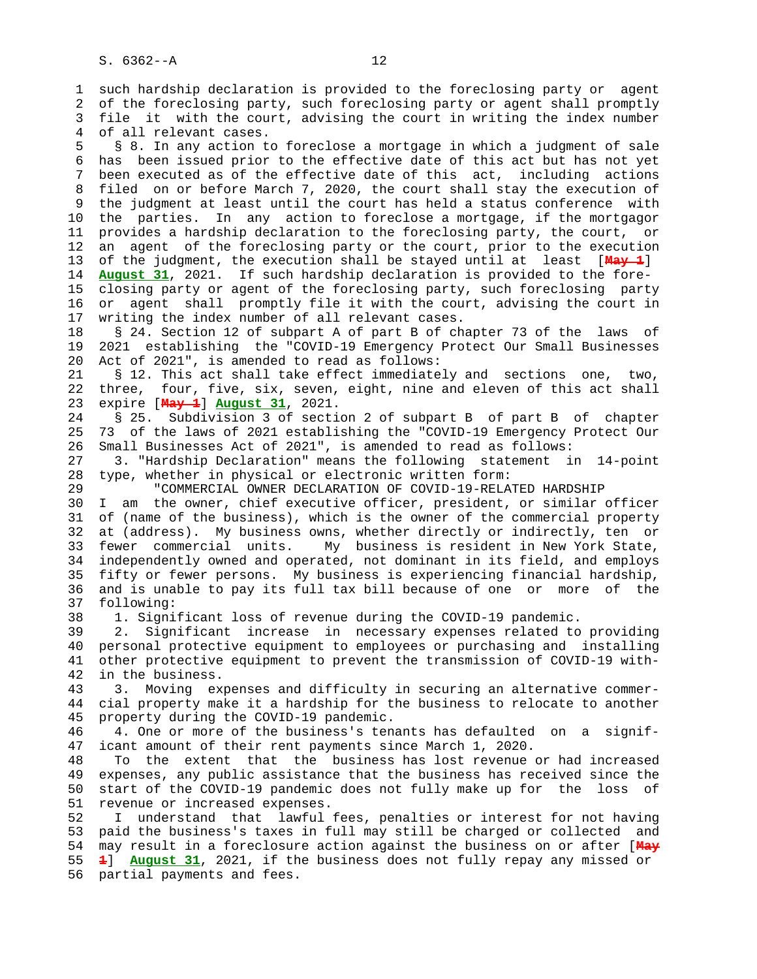1 such hardship declaration is provided to the foreclosing party or agent 2 of the foreclosing party, such foreclosing party or agent shall promptly 3 file it with the court, advising the court in writing the index number 4 of all relevant cases.

 5 § 8. In any action to foreclose a mortgage in which a judgment of sale 6 has been issued prior to the effective date of this act but has not yet 7 been executed as of the effective date of this act, including actions 8 filed on or before March 7, 2020, the court shall stay the execution of 9 the judgment at least until the court has held a status conference with 10 the parties. In any action to foreclose a mortgage, if the mortgagor 11 provides a hardship declaration to the foreclosing party, the court, or 12 an agent of the foreclosing party or the court, prior to the execution 13 of the judgment, the execution shall be stayed until at least [**May 1**] 14 **August 31**, 2021. If such hardship declaration is provided to the fore- 15 closing party or agent of the foreclosing party, such foreclosing party 16 or agent shall promptly file it with the court, advising the court in 17 writing the index number of all relevant cases.

 18 § 24. Section 12 of subpart A of part B of chapter 73 of the laws of 19 2021 establishing the "COVID-19 Emergency Protect Our Small Businesses 20 Act of 2021", is amended to read as follows:

 21 § 12. This act shall take effect immediately and sections one, two, 22 three, four, five, six, seven, eight, nine and eleven of this act shall 23 expire [**May 1**] **August 31**, 2021.

 24 § 25. Subdivision 3 of section 2 of subpart B of part B of chapter 25 73 of the laws of 2021 establishing the "COVID-19 Emergency Protect Our 26 Small Businesses Act of 2021", is amended to read as follows:

 27 3. "Hardship Declaration" means the following statement in 14-point 28 type, whether in physical or electronic written form:

29 "COMMERCIAL OWNER DECLARATION OF COVID-19-RELATED HARDSHIP

 30 I am the owner, chief executive officer, president, or similar officer 31 of (name of the business), which is the owner of the commercial property 32 at (address). My business owns, whether directly or indirectly, ten or 33 fewer commercial units. My business is resident in New York State, 34 independently owned and operated, not dominant in its field, and employs 35 fifty or fewer persons. My business is experiencing financial hardship, 36 and is unable to pay its full tax bill because of one or more of the 37 following:

38 1. Significant loss of revenue during the COVID-19 pandemic.

 39 2. Significant increase in necessary expenses related to providing 40 personal protective equipment to employees or purchasing and installing 41 other protective equipment to prevent the transmission of COVID-19 with- 42 in the business.

 43 3. Moving expenses and difficulty in securing an alternative commer- 44 cial property make it a hardship for the business to relocate to another 45 property during the COVID-19 pandemic.

 46 4. One or more of the business's tenants has defaulted on a signif- 47 icant amount of their rent payments since March 1, 2020.

 48 To the extent that the business has lost revenue or had increased 49 expenses, any public assistance that the business has received since the 50 start of the COVID-19 pandemic does not fully make up for the loss of 51 revenue or increased expenses.

 52 I understand that lawful fees, penalties or interest for not having 53 paid the business's taxes in full may still be charged or collected and 54 may result in a foreclosure action against the business on or after [**May** 55 **1**] **August 31**, 2021, if the business does not fully repay any missed or 56 partial payments and fees.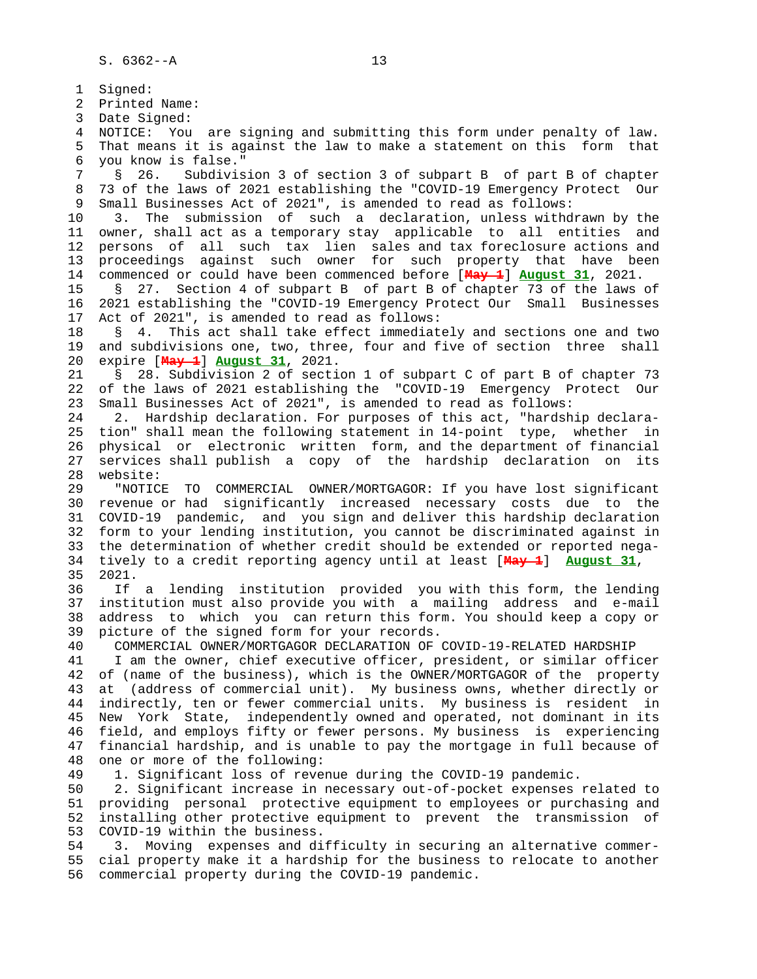1 Signed: 2 Printed Name: 3 Date Signed: 4 NOTICE: You are signing and submitting this form under penalty of law. 5 That means it is against the law to make a statement on this form that 6 you know is false." 7 § 26. Subdivision 3 of section 3 of subpart B of part B of chapter 8 73 of the laws of 2021 establishing the "COVID-19 Emergency Protect Our<br>9 Small Businesses Act of 2021", is amended to read as follows: Small Businesses Act of 2021", is amended to read as follows: 10 3. The submission of such a declaration, unless withdrawn by the 11 owner, shall act as a temporary stay applicable to all entities and 12 persons of all such tax lien sales and tax foreclosure actions and 13 proceedings against such owner for such property that have been 14 commenced or could have been commenced before [**May 1**] **August 31**, 2021. 15 § 27. Section 4 of subpart B of part B of chapter 73 of the laws of 16 2021 establishing the "COVID-19 Emergency Protect Our Small Businesses 17 Act of 2021", is amended to read as follows: 18 § 4. This act shall take effect immediately and sections one and two 19 and subdivisions one, two, three, four and five of section three shall 20 expire [**May 1**] **August 31**, 2021. 21 § 28. Subdivision 2 of section 1 of subpart C of part B of chapter 73 22 of the laws of 2021 establishing the "COVID-19 Emergency Protect Our 23 Small Businesses Act of 2021", is amended to read as follows: 24 2. Hardship declaration. For purposes of this act, "hardship declara- 25 tion" shall mean the following statement in 14-point type, whether in 26 physical or electronic written form, and the department of financial 27 services shall publish a copy of the hardship declaration on its 28 website: 29 "NOTICE TO COMMERCIAL OWNER/MORTGAGOR: If you have lost significant 30 revenue or had significantly increased necessary costs due to the 31 COVID-19 pandemic, and you sign and deliver this hardship declaration 32 form to your lending institution, you cannot be discriminated against in 33 the determination of whether credit should be extended or reported nega- 34 tively to a credit reporting agency until at least [**May 1**] **August 31**, 35 2021. 36 If a lending institution provided you with this form, the lending 37 institution must also provide you with a mailing address and e-mail 38 address to which you can return this form. You should keep a copy or 39 picture of the signed form for your records. 40 COMMERCIAL OWNER/MORTGAGOR DECLARATION OF COVID-19-RELATED HARDSHIP 41 I am the owner, chief executive officer, president, or similar officer 42 of (name of the business), which is the OWNER/MORTGAGOR of the property 43 at (address of commercial unit). My business owns, whether directly or 44 indirectly, ten or fewer commercial units. My business is resident in 45 New York State, independently owned and operated, not dominant in its 46 field, and employs fifty or fewer persons. My business is experiencing 47 financial hardship, and is unable to pay the mortgage in full because of 48 one or more of the following: 49 1. Significant loss of revenue during the COVID-19 pandemic. 50 2. Significant increase in necessary out-of-pocket expenses related to 51 providing personal protective equipment to employees or purchasing and 52 installing other protective equipment to prevent the transmission of 53 COVID-19 within the business. 54 3. Moving expenses and difficulty in securing an alternative commer-

 55 cial property make it a hardship for the business to relocate to another 56 commercial property during the COVID-19 pandemic.